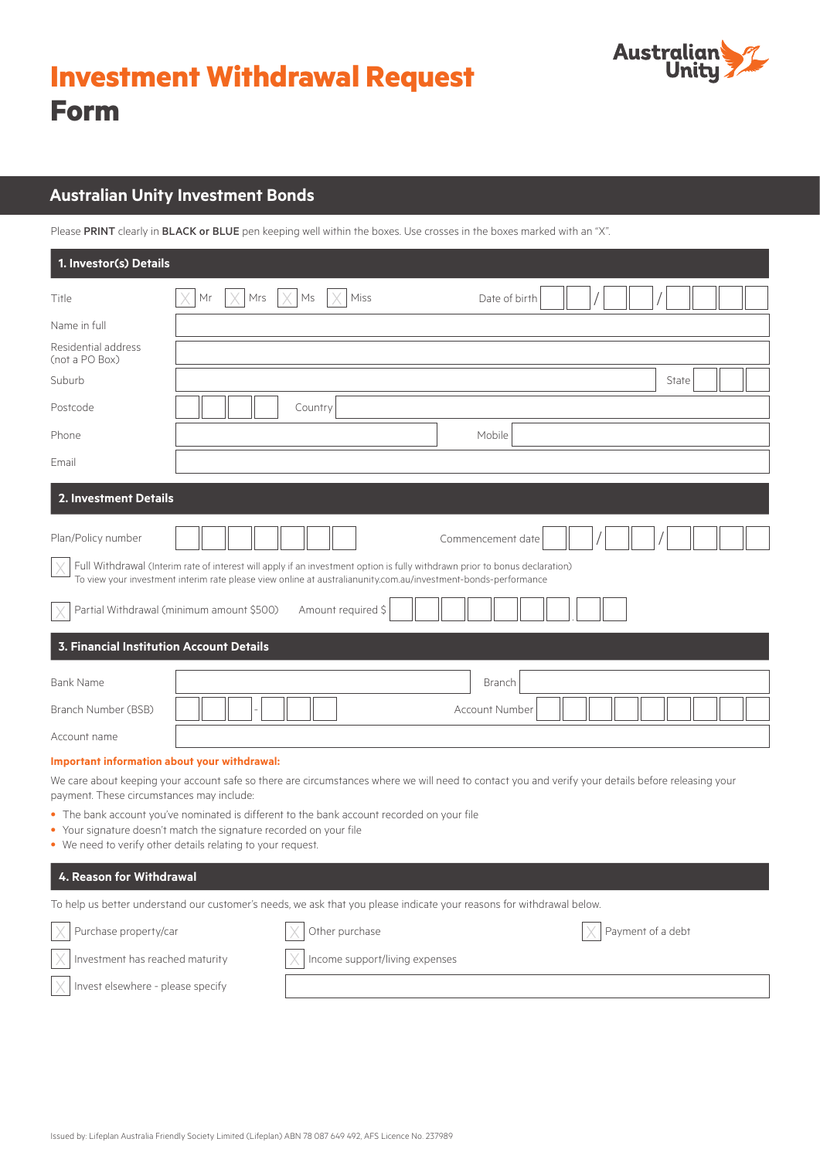



# **Australian Unity Investment Bonds**

Please PRINT clearly in BLACK or BLUE pen keeping well within the boxes. Use crosses in the boxes marked with an "X".

| 1. Investor(s) Details                          |                                                                                                                                                                                                                                               |  |  |  |
|-------------------------------------------------|-----------------------------------------------------------------------------------------------------------------------------------------------------------------------------------------------------------------------------------------------|--|--|--|
| Title                                           | Miss<br>Date of birth<br>Mr<br>Mrs<br>Ms                                                                                                                                                                                                      |  |  |  |
| Name in full                                    |                                                                                                                                                                                                                                               |  |  |  |
| Residential address<br>(not a PO Box)           |                                                                                                                                                                                                                                               |  |  |  |
| Suburb                                          | State                                                                                                                                                                                                                                         |  |  |  |
| Postcode                                        | Country                                                                                                                                                                                                                                       |  |  |  |
| Phone                                           | Mobile                                                                                                                                                                                                                                        |  |  |  |
| Email                                           |                                                                                                                                                                                                                                               |  |  |  |
| 2. Investment Details                           |                                                                                                                                                                                                                                               |  |  |  |
| Plan/Policy number                              | Commencement date                                                                                                                                                                                                                             |  |  |  |
|                                                 | Full Withdrawal (Interim rate of interest will apply if an investment option is fully withdrawn prior to bonus declaration)<br>To view your investment interim rate please view online at australianunity.com.au/investment-bonds-performance |  |  |  |
|                                                 | Partial Withdrawal (minimum amount \$500)<br>Amount required \$                                                                                                                                                                               |  |  |  |
| <b>3. Financial Institution Account Details</b> |                                                                                                                                                                                                                                               |  |  |  |
| <b>Bank Name</b>                                | Branch                                                                                                                                                                                                                                        |  |  |  |
| Branch Number (BSB)                             | Account Number                                                                                                                                                                                                                                |  |  |  |
| Account name                                    |                                                                                                                                                                                                                                               |  |  |  |
|                                                 |                                                                                                                                                                                                                                               |  |  |  |

#### **Important information about your withdrawal:**

We care about keeping your account safe so there are circumstances where we will need to contact you and verify your details before releasing your payment. These circumstances may include:

- The bank account you've nominated is different to the bank account recorded on your file
- Your signature doesn't match the signature recorded on your file
- We need to verify other details relating to your request.

# **4. Reason for Withdrawal**

To help us better understand our customer's needs, we ask that you please indicate your reasons for withdrawal below.

| $\vert \chi \vert$ Purchase property/car     | Other purchase                          | Payment of a debt |
|----------------------------------------------|-----------------------------------------|-------------------|
| $\times$ Investment has reached maturity     | $\times$ Income support/living expenses |                   |
| $\angle$   Invest elsewhere - please specify |                                         |                   |